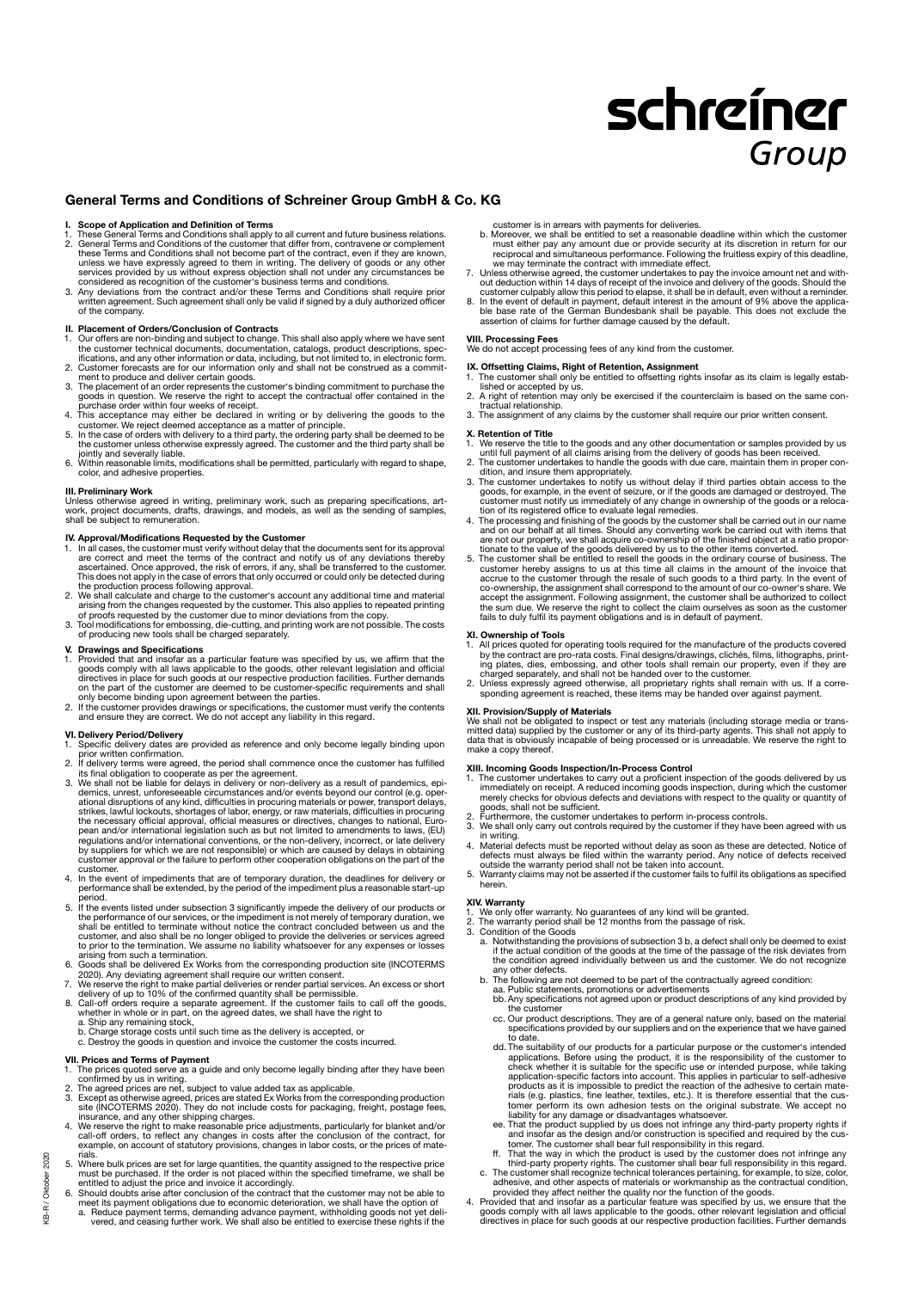# schreiner Group

### General Terms and Conditions of Schreiner Group GmbH & Co. KG

### Scope of Application and Definition of Terms

- 1. These General Terms and Conditions shall apply to all current and future business relations.<br>
2. General Terms and Conditions of the customer that differ from, contravene or complement<br>
these Terms and Conditions shall
- considered as recognition of the customer's business terms and conditions.<br>3. Any deviations from the contract and/or these Terms and Conditions shall require prior<br>written agreement. Such agreement shall only be valid if of the company.

- **II. Placement of Orders/Conclusion of Contracts**<br>1. Our offers are non-binding and subject to change. This shall also apply where we have sent<br>1. the customer technical documents, documentation, catalogs, product descript
- ifications, and any other information or data, including, but not limited to, in electronic form.<br>2. Customer forecasts are for our information only and shall not be construed as a commit-<br>nent to produce and deliver certa
- purchase order within four weeks of receipt.
- 4. This acceptance may either be declared in writing or by delivering the goods to the<br>customer. We reject deemed acceptance as a matter of principle.<br>5. In the case of orders with delivery to a third party, the ordering p
- the customer unless otherwise expressly agreed. The customer and the third party shall be jointly and severally liable. 6. Within reasonable limits, modifications shall be permitted, particularly with regard to shape,
- color, and adhesive properties.

### **III. Preliminary Work**

Unless otherwise agreed in writing, preliminary work, such as preparing specifications, art-work, project documents, drafts, drawings, and models, as well as the sending of samples, shall be subject to remuneration.

- **IV. Approval/Modifications Requested by the Customer COM**<br>1. In all cases, the customer must verify without delay that the documents sent for its approval<br>1. In all cases that meet the terms of the contract and notify us the production process following approval.
- 2. We shall calculate and charge to the customer's account any additional time and material<br>arising from the changes requested by the customer. This also applies to repeated printing<br>of proofs requested by the customer due
- 3. Tool modifications for embossing, die-cutting, and printing work are not possible. The costs of producing new tools shall be charged separately.

### V. Drawings and Specifications

- 1. Provided that and insofar as a particular feature was specified by us, we affirm that the goods comply with all laws applicable to the goods, other relevant legislation and official directives in place for such goods at
- and ensure they are correct. We do not accept any liability in this regard.

- **VI. Delivery Period/Delivery**<br>1. Specific delivery dates are provided as reference and only become legally binding upon<br>prior written confirmation.
- 2. If delivery terms were agreed, the period shall commence once the customer has fulfilled<br>its final obligation to cooperate as per the agreement.<br>3. We shall not be liable for delays in delivery or non-delivery as a resu
- demics, unrest, unforeseeable circumstances and/or events beyond our control (e.g. operational disruptions of any kind, difficulties in procuring materials or power, transport delays, taking stations, the strikes, lawful l regulations and/or international conventions, or the non-delivery, incorrect, or late delivery<br>by suppliers for which we are not responsible) or which are caused by delays in obtaining<br>customer approval or the failure to p customer.
- 4. In the event of impediments that are of temporary duration, the deadlines for delivery or performance shall be extended, by the period of the impediment plus a reasonable start-up
- period. 5. If the events listed under subsection 3 significantly impede the delivery of our products or the performance of our services, or the impediment is not merely of temporary duration, we shall be entitled to terminate without notice the contract concluded between us and the<br>customer, and also shall be no longer obliged to provide the deliveries or services agreed<br>to prior to the termination. We assume no l
- arising from such a termination.<br>
6. Goods shall be delivered Ex Works from the corresponding production site (INCOTERMS<br>
6. Goods shall be delivered Ex Works from the corresponding production site (INCOTERMS<br>
7. We reserv
- 
- whether in whole or in part, on the agreed dates, we shall have the right to<br>a. Ship any remaining stock,<br>b. Charge storage costs until such time as the delivery is accepted, or
- 
- c. Destroy the goods in question and invoice the customer the costs incurred.

- **VII. Prices and Terms of Payment**<br>1. The prices quoted serve as a guide and only become legally binding after they have been<br>confirmed by us in writing.<br>2. The agreed prices are net, subject to value added tax as applicab
- 
- 
- 3. Except as otherwise agreed, prices are stated Ex Works from the corresponding production<br>stie (NCOTERMS 2020). They do not include costs for packaging, freight, postage fees,<br>insurance, and any other shipping charges.<br>4
- 5. Where bulk prices are set for large quantities, the quantity assigned to the respective price<br>must be purchased. If the order is not placed within the specified timeframe, we shall be<br>entitled to adjust the price and in
- 
- meet its payment obligations due to economic deterioration, we shall have the option of<br>a. Peduce payment terms, demanding advance payment, withholding goods not yet deli-<br>vered, and ceasing further work. We shall also be
- 
- customer is in arrears with payments for deliveries.<br>
Lo Moreover, we shall be entitled to set a reasonable deadline within which the customer<br>
must either pay any amount due or provide security at its discretion in return
- 
- 7. Unless otherwise agreed, the customer undertakes to pay the invoice amount net and with-<br>out deduction within 14 days of receipt of the invoice and delivery of the goods. Should the<br>customer culpably allow this period t

#### VIII. Processing Fees

We do not accept processing fees of any kind from the customer.

- **IX. Offsetting Claims, Right of Retention, Assignment**<br>1. The customer shall only be entitled to offsetting rights insofar as its claim is legally estab-<br>lished or accepted by us.<br>2. A right of retention may only be exerc
	- tractual relationship.
	- 3. The assignment of any claims by the customer shall require our prior written consent.

- 
- **X. Retention of Title**<br>1. We reserve the title to the goods and any other documentation or samples provided by us<br>1. We reserve the title to the goods and any other documentation or samples provided by us<br>2. The customer
- 
- 
- 3. The customer undertakes to notify us without delay if third parties obtain access to the goods, for example, in the event of seizure, or if the goods are damaged or destroyed. The customer must notify us immediately of the sum due. We reserve the right to collect the claim ourselves as soon as the customer fails to duly fulfil its payment obligations and is in default of payment.

- XI. Ownership of Tools 1. All prices quoted for operating tools required for the manufacture of the products covered by the contract are pro-rata costs. Final designs/drawings, clichés, films, lithographs, print-<br>ing plates, dies, embossing, and other tools shall remain our property, even if they are<br>charged separately, and shall not be
- 

### XII. Provision/Supply of Materials

We shall not be obligated to inspect or test any materials (including storage media or trans-<br>mitted data) supplied by the customer or any of its third-party agents. This shall not apply to<br>data that is obviously incapable make a copy thereof.

- XIII. Incoming Goods Inspection/In-Process Control 1. The customer undertakes to carry out a proficient inspection of the goods delivered by us immediately on receipt. A reduced incoming goods inspection, during which the customer merely checks for obvious defects and deviations with respect to the quality or quantity of
- goods, shall not be sufficient.<br>2. Furthermore, the customer undertakes to perform in-process controls.<br>3. We shall only carry out controls required by the customer if they have been agreed with us
- in writing.<br>4. Material defects must be reported without delay as soon as these are detected. Notice of<br>defects must always be filed within the warranty period. Any notice of defects received<br>outside the warranty period sh
- 

- 
- 
- 
- XIV. Warranty<br>
2. We only offer warranty. No guarantees of any kind will be granted.<br>
2. The warranty period shall be 12 months from the passage of risk.<br>
3. Condition of the Goods<br>
a. Notwithstanding the provisions of sub the condition agreed individually between us and the customer. We do not recognize any other defects.
	- b. The following are not deemed to be part of the contractually agreed condition: aa. Public statements, promotions or advertisements
	- bb.Any specifications not agreed upon or product descriptions of any kind provided by the customer
	- cc. Our product descriptions. They are of a general nature only, based on the material specifications provided by our suppliers and on the experience that we have gained
	- to date.<br>
	dd. The suitability of our products for a particular purpose or the customer's intended<br>
	applications. Before using the product, it is the responsibility of the customer to<br>
	check whether it is suitable for the s
	- liability for any damage or disadvantages whatsoever.<br>
	ee. That the product supplied by us does not infringe any third-party property rights if<br>
	and insofar as the design and/or construction is specified and required by th
	-
- 
- provided they affect neither the quality nor the function of the goods.<br>4. Provided that and insofar as a particular feature was specified by us, we ensure that the<br>goods comply with all laws applicable to the goods, other